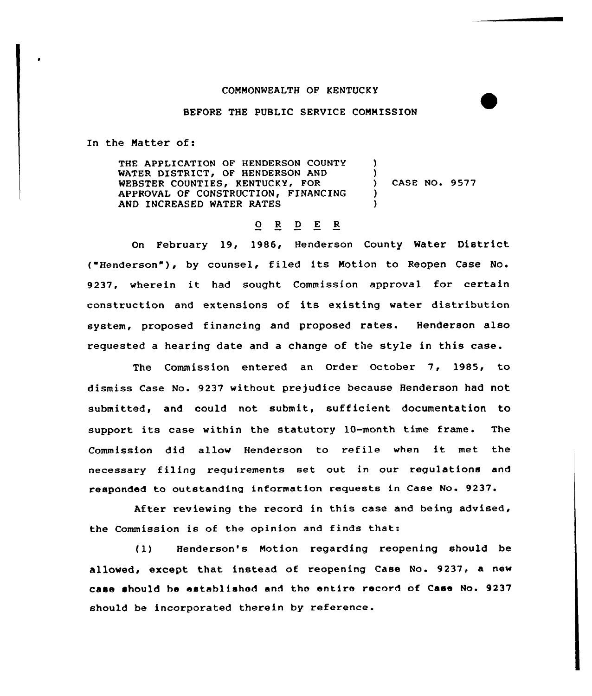## COMMONWEALTH OF KENTUCKY

## BEFORE THE PVBLIC SERVICE COMMISSION

In the Natter of:

THE APPLICATION OF HENDERSON COUNTY WATER DISTRICT, OF HENDERSON AND WEBSTER COUNTIES, KENTUCKY, FOR APPROVAL OF CONSTRUCTION, FINANCING AND INCREASED WATER RATES )  $\lambda$ CASE NO. 9577 ) )

## O R D E R

On February 19, 1986, Henderson County Water District ( Henderson" ), by counsel, filed its Motion to Reopen Case No. 9237, wherein it had sought Commission approval for certain construction and extensions of its existing water distribution system, proposed financing and proposed rates. Henderson also requested a hearing date and a change of the style in this case.

The Commission entered an Order October 7, 1985, to dismiss Case No. 9237 without prejudice because Henderson had not submitted, and could not submit, sufficient documentation to support its case within the statutory 10-month time frame. The Commission did allow Henderson to refile when it met the necessary filing requirements set out in our regulations and responded to outstanding information requests in Case No. 9237.

After reviewing the record in this case and being advised, the Commission is of the opinion and finds that:

(1) Henderson's Notion regarding reopening should be allowed, except that instead of reopening Case No. 9237, a new caas should bs established and the entire record of Case No. 9237 should be incorporated therein by reference.